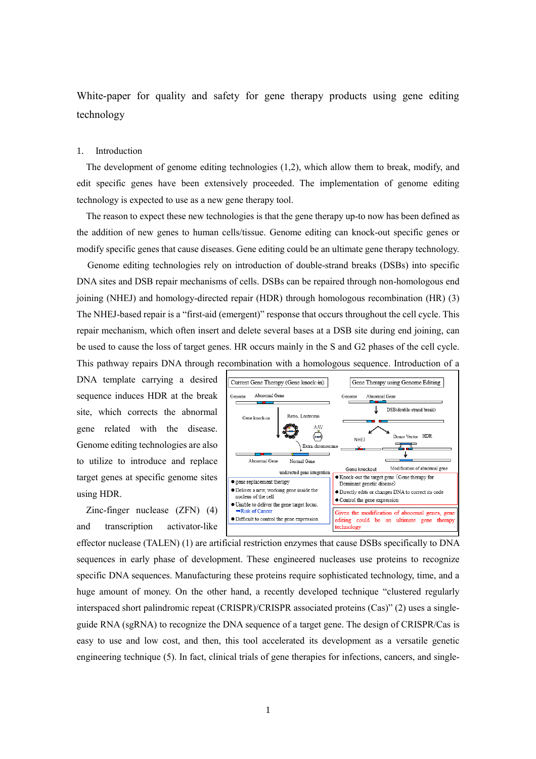White-paper for quality and safety for gene therapy products using gene editing technology

#### 1. Introduction

The development of genome editing technologies (1,2), which allow them to break, modify, and edit specific genes have been extensively proceeded. The implementation of genome editing technology is expected to use as a new gene therapy tool.

The reason to expect these new technologies is that the gene therapy up-to now has been defined as the addition of new genes to human cells/tissue. Genome editing can knock-out specific genes or modify specific genes that cause diseases. Gene editing could be an ultimate gene therapy technology.

Genome editing technologies rely on introduction of double-strand breaks (DSBs) into specific DNA sites and DSB repair mechanisms of cells. DSBs can be repaired through non-homologous end joining (NHEJ) and homology-directed repair (HDR) through homologous recombination (HR) (3) The NHEJ-based repair is a "first-aid (emergent)" response that occurs throughout the cell cycle. This repair mechanism, which often insert and delete several bases at a DSB site during end joining, can be used to cause the loss of target genes. HR occurs mainly in the S and G2 phases of the cell cycle. This pathway repairs DNA through recombination with a homologous sequence. Introduction of a

DNA template carrying a desired sequence induces HDR at the break site, which corrects the abnormal gene related with the disease. Genome editing technologies are also to utilize to introduce and replace target genes at specific genome sites using HDR.

Zinc-finger nuclease (ZFN) (4) and transcription activator-like



effector nuclease (TALEN) (1) are artificial restriction enzymes that cause DSBs specifically to DNA sequences in early phase of development. These engineered nucleases use proteins to recognize specific DNA sequences. Manufacturing these proteins require sophisticated technology, time, and a huge amount of money. On the other hand, a recently developed technique "clustered regularly interspaced short palindromic repeat (CRISPR)/CRISPR associated proteins (Cas)" (2) uses a singleguide RNA (sgRNA) to recognize the DNA sequence of a target gene. The design of CRISPR/Cas is easy to use and low cost, and then, this tool accelerated its development as a versatile genetic engineering technique (5). In fact, clinical trials of gene therapies for infections, cancers, and single-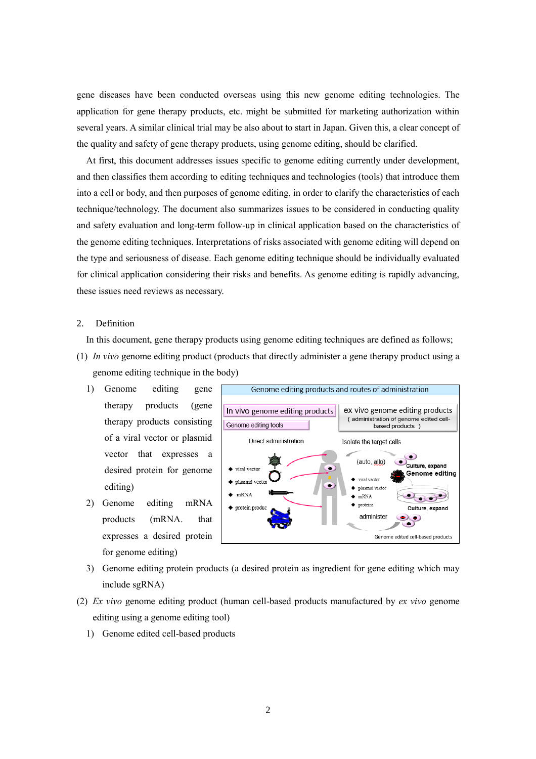gene diseases have been conducted overseas using this new genome editing technologies. The application for gene therapy products, etc. might be submitted for marketing authorization within several years. A similar clinical trial may be also about to start in Japan. Given this, a clear concept of the quality and safety of gene therapy products, using genome editing, should be clarified.

At first, this document addresses issues specific to genome editing currently under development, and then classifies them according to editing techniques and technologies (tools) that introduce them into a cell or body, and then purposes of genome editing, in order to clarify the characteristics of each technique/technology. The document also summarizes issues to be considered in conducting quality and safety evaluation and long-term follow-up in clinical application based on the characteristics of the genome editing techniques. Interpretations of risks associated with genome editing will depend on the type and seriousness of disease. Each genome editing technique should be individually evaluated for clinical application considering their risks and benefits. As genome editing is rapidly advancing, these issues need reviews as necessary.

## 2. Definition

In this document, gene therapy products using genome editing techniques are defined as follows;

- (1) *In vivo* genome editing product (products that directly administer a gene therapy product using a genome editing technique in the body)
	- 1) Genome editing gene therapy products (gene therapy products consisting of a viral vector or plasmid vector that expresses a desired protein for genome editing)
	- 2) Genome editing mRNA products (mRNA. that expresses a desired protein for genome editing)



- 3) Genome editing protein products (a desired protein as ingredient for gene editing which may include sgRNA)
- (2) *Ex vivo* genome editing product (human cell-based products manufactured by *ex vivo* genome editing using a genome editing tool)
	- 1) Genome edited cell-based products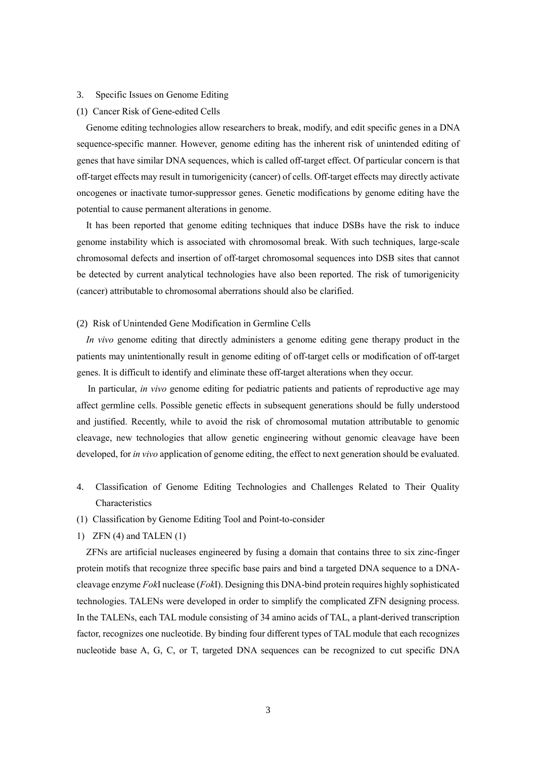#### 3. Specific Issues on Genome Editing

(1) Cancer Risk of Gene-edited Cells

Genome editing technologies allow researchers to break, modify, and edit specific genes in a DNA sequence-specific manner. However, genome editing has the inherent risk of unintended editing of genes that have similar DNA sequences, which is called off-target effect. Of particular concern is that off-target effects may result in tumorigenicity (cancer) of cells. Off-target effects may directly activate oncogenes or inactivate tumor-suppressor genes. Genetic modifications by genome editing have the potential to cause permanent alterations in genome.

It has been reported that genome editing techniques that induce DSBs have the risk to induce genome instability which is associated with chromosomal break. With such techniques, large-scale chromosomal defects and insertion of off-target chromosomal sequences into DSB sites that cannot be detected by current analytical technologies have also been reported. The risk of tumorigenicity (cancer) attributable to chromosomal aberrations should also be clarified.

#### (2) Risk of Unintended Gene Modification in Germline Cells

*In vivo* genome editing that directly administers a genome editing gene therapy product in the patients may unintentionally result in genome editing of off-target cells or modification of off-target genes. It is difficult to identify and eliminate these off-target alterations when they occur.

In particular, *in vivo* genome editing for pediatric patients and patients of reproductive age may affect germline cells. Possible genetic effects in subsequent generations should be fully understood and justified. Recently, while to avoid the risk of chromosomal mutation attributable to genomic cleavage, new technologies that allow genetic engineering without genomic cleavage have been developed, for *in vivo* application of genome editing, the effect to next generation should be evaluated.

- 4. Classification of Genome Editing Technologies and Challenges Related to Their Quality Characteristics
- (1) Classification by Genome Editing Tool and Point-to-consider
- 1) ZFN (4) and TALEN (1)

ZFNs are artificial nucleases engineered by fusing a domain that contains three to six zinc-finger protein motifs that recognize three specific base pairs and bind a targeted DNA sequence to a DNAcleavage enzyme *Fok*I nuclease (*Fok*I). Designing this DNA-bind protein requires highly sophisticated technologies. TALENs were developed in order to simplify the complicated ZFN designing process. In the TALENs, each TAL module consisting of 34 amino acids of TAL, a plant-derived transcription factor, recognizes one nucleotide. By binding four different types of TAL module that each recognizes nucleotide base A, G, C, or T, targeted DNA sequences can be recognized to cut specific DNA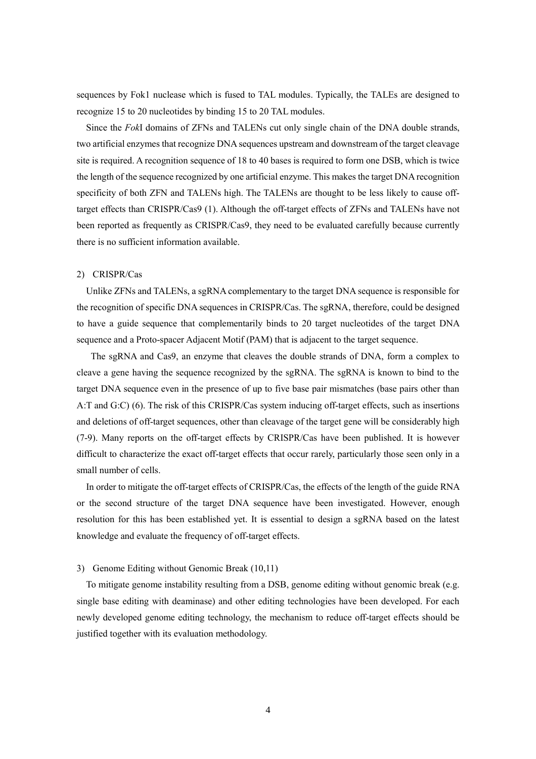sequences by Fok1 nuclease which is fused to TAL modules. Typically, the TALEs are designed to recognize 15 to 20 nucleotides by binding 15 to 20 TAL modules.

Since the *Fok*I domains of ZFNs and TALENs cut only single chain of the DNA double strands, two artificial enzymes that recognize DNA sequences upstream and downstream of the target cleavage site is required. A recognition sequence of 18 to 40 bases is required to form one DSB, which is twice the length of the sequence recognized by one artificial enzyme. This makes the target DNArecognition specificity of both ZFN and TALENs high. The TALENs are thought to be less likely to cause offtarget effects than CRISPR/Cas9 (1). Although the off-target effects of ZFNs and TALENs have not been reported as frequently as CRISPR/Cas9, they need to be evaluated carefully because currently there is no sufficient information available.

### 2) CRISPR/Cas

Unlike ZFNs and TALENs, a sgRNA complementary to the target DNA sequence is responsible for the recognition of specific DNA sequences in CRISPR/Cas. The sgRNA, therefore, could be designed to have a guide sequence that complementarily binds to 20 target nucleotides of the target DNA sequence and a Proto-spacer Adjacent Motif (PAM) that is adjacent to the target sequence.

The sgRNA and Cas9, an enzyme that cleaves the double strands of DNA, form a complex to cleave a gene having the sequence recognized by the sgRNA. The sgRNA is known to bind to the target DNA sequence even in the presence of up to five base pair mismatches (base pairs other than A:T and G:C) (6). The risk of this CRISPR/Cas system inducing off-target effects, such as insertions and deletions of off-target sequences, other than cleavage of the target gene will be considerably high (7-9). Many reports on the off-target effects by CRISPR/Cas have been published. It is however difficult to characterize the exact off-target effects that occur rarely, particularly those seen only in a small number of cells.

In order to mitigate the off-target effects of CRISPR/Cas, the effects of the length of the guide RNA or the second structure of the target DNA sequence have been investigated. However, enough resolution for this has been established yet. It is essential to design a sgRNA based on the latest knowledge and evaluate the frequency of off-target effects.

# 3) Genome Editing without Genomic Break (10,11)

To mitigate genome instability resulting from a DSB, genome editing without genomic break (e.g. single base editing with deaminase) and other editing technologies have been developed. For each newly developed genome editing technology, the mechanism to reduce off-target effects should be justified together with its evaluation methodology.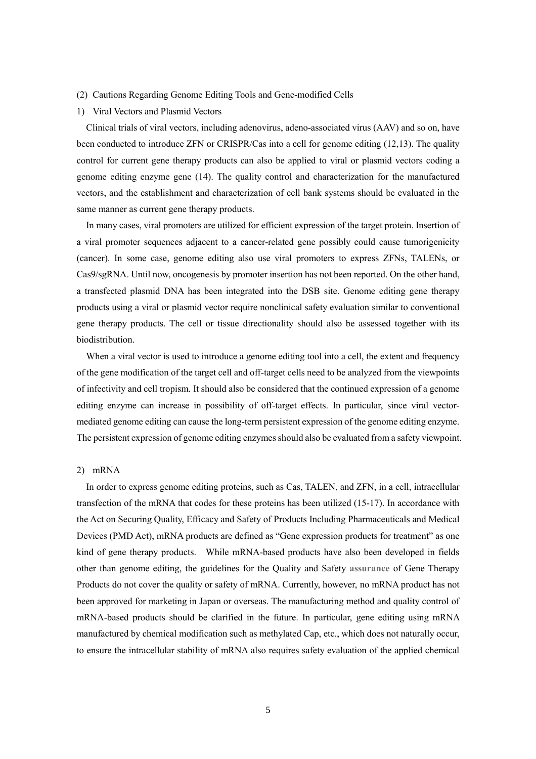- (2) Cautions Regarding Genome Editing Tools and Gene-modified Cells
- 1) Viral Vectors and Plasmid Vectors

Clinical trials of viral vectors, including adenovirus, adeno-associated virus (AAV) and so on, have been conducted to introduce ZFN or CRISPR/Cas into a cell for genome editing (12,13). The quality control for current gene therapy products can also be applied to viral or plasmid vectors coding a genome editing enzyme gene (14). The quality control and characterization for the manufactured vectors, and the establishment and characterization of cell bank systems should be evaluated in the same manner as current gene therapy products.

In many cases, viral promoters are utilized for efficient expression of the target protein. Insertion of a viral promoter sequences adjacent to a cancer-related gene possibly could cause tumorigenicity (cancer). In some case, genome editing also use viral promoters to express ZFNs, TALENs, or Cas9/sgRNA. Until now, oncogenesis by promoter insertion has not been reported. On the other hand, a transfected plasmid DNA has been integrated into the DSB site. Genome editing gene therapy products using a viral or plasmid vector require nonclinical safety evaluation similar to conventional gene therapy products. The cell or tissue directionality should also be assessed together with its biodistribution.

When a viral vector is used to introduce a genome editing tool into a cell, the extent and frequency of the gene modification of the target cell and off-target cells need to be analyzed from the viewpoints of infectivity and cell tropism. It should also be considered that the continued expression of a genome editing enzyme can increase in possibility of off-target effects. In particular, since viral vectormediated genome editing can cause the long-term persistent expression of the genome editing enzyme. The persistent expression of genome editing enzymes should also be evaluated from a safety viewpoint.

# 2) mRNA

In order to express genome editing proteins, such as Cas, TALEN, and ZFN, in a cell, intracellular transfection of the mRNA that codes for these proteins has been utilized (15-17). In accordance with the Act on Securing Quality, Efficacy and Safety of Products Including Pharmaceuticals and Medical Devices (PMD Act), mRNA products are defined as "Gene expression products for treatment" as one kind of gene therapy products. While mRNA-based products have also been developed in fields other than genome editing, the guidelines for the Quality and Safety **assurance** of Gene Therapy Products do not cover the quality or safety of mRNA. Currently, however, no mRNA product has not been approved for marketing in Japan or overseas. The manufacturing method and quality control of mRNA-based products should be clarified in the future. In particular, gene editing using mRNA manufactured by chemical modification such as methylated Cap, etc., which does not naturally occur, to ensure the intracellular stability of mRNA also requires safety evaluation of the applied chemical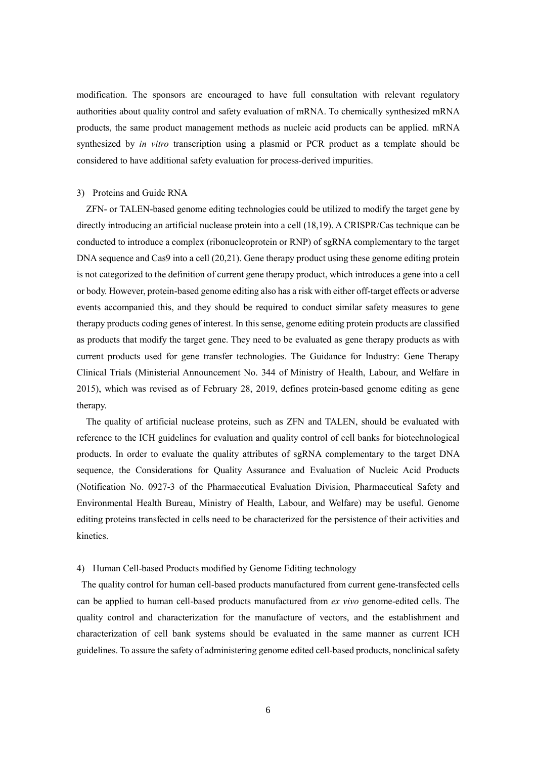modification. The sponsors are encouraged to have full consultation with relevant regulatory authorities about quality control and safety evaluation of mRNA. To chemically synthesized mRNA products, the same product management methods as nucleic acid products can be applied. mRNA synthesized by *in vitro* transcription using a plasmid or PCR product as a template should be considered to have additional safety evaluation for process-derived impurities.

# 3) Proteins and Guide RNA

ZFN- or TALEN-based genome editing technologies could be utilized to modify the target gene by directly introducing an artificial nuclease protein into a cell (18,19). A CRISPR/Cas technique can be conducted to introduce a complex (ribonucleoprotein or RNP) of sgRNA complementary to the target DNA sequence and Cas9 into a cell (20,21). Gene therapy product using these genome editing protein is not categorized to the definition of current gene therapy product, which introduces a gene into a cell or body. However, protein-based genome editing also has a risk with either off-target effects or adverse events accompanied this, and they should be required to conduct similar safety measures to gene therapy products coding genes of interest. In this sense, genome editing protein products are classified as products that modify the target gene. They need to be evaluated as gene therapy products as with current products used for gene transfer technologies. The Guidance for Industry: Gene Therapy Clinical Trials (Ministerial Announcement No. 344 of Ministry of Health, Labour, and Welfare in 2015), which was revised as of February 28, 2019, defines protein-based genome editing as gene therapy.

The quality of artificial nuclease proteins, such as ZFN and TALEN, should be evaluated with reference to the ICH guidelines for evaluation and quality control of cell banks for biotechnological products. In order to evaluate the quality attributes of sgRNA complementary to the target DNA sequence, the Considerations for Quality Assurance and Evaluation of Nucleic Acid Products (Notification No. 0927-3 of the Pharmaceutical Evaluation Division, Pharmaceutical Safety and Environmental Health Bureau, Ministry of Health, Labour, and Welfare) may be useful. Genome editing proteins transfected in cells need to be characterized for the persistence of their activities and kinetics.

### 4) Human Cell-based Products modified by Genome Editing technology

The quality control for human cell-based products manufactured from current gene-transfected cells can be applied to human cell-based products manufactured from *ex vivo* genome-edited cells. The quality control and characterization for the manufacture of vectors, and the establishment and characterization of cell bank systems should be evaluated in the same manner as current ICH guidelines. To assure the safety of administering genome edited cell-based products, nonclinical safety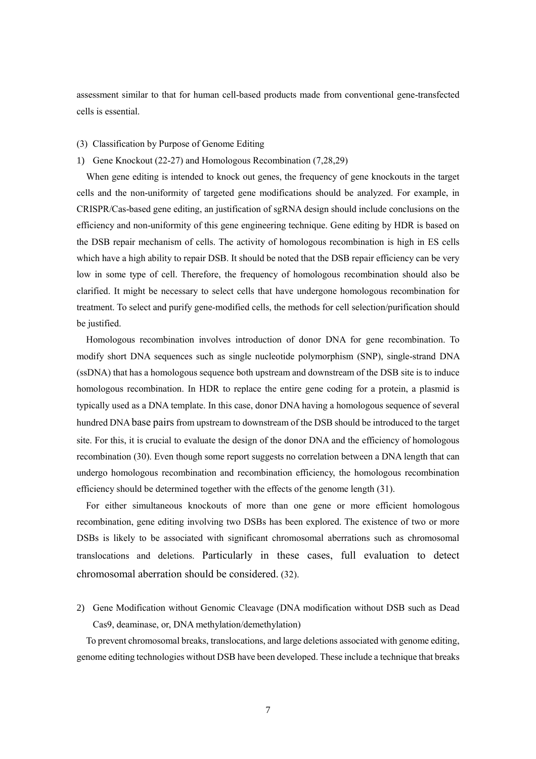assessment similar to that for human cell-based products made from conventional gene-transfected cells is essential.

### (3) Classification by Purpose of Genome Editing

## 1) Gene Knockout (22-27) and Homologous Recombination (7,28,29)

When gene editing is intended to knock out genes, the frequency of gene knockouts in the target cells and the non-uniformity of targeted gene modifications should be analyzed. For example, in CRISPR/Cas-based gene editing, an justification of sgRNA design should include conclusions on the efficiency and non-uniformity of this gene engineering technique. Gene editing by HDR is based on the DSB repair mechanism of cells. The activity of homologous recombination is high in ES cells which have a high ability to repair DSB. It should be noted that the DSB repair efficiency can be very low in some type of cell. Therefore, the frequency of homologous recombination should also be clarified. It might be necessary to select cells that have undergone homologous recombination for treatment. To select and purify gene-modified cells, the methods for cell selection/purification should be justified.

Homologous recombination involves introduction of donor DNA for gene recombination. To modify short DNA sequences such as single nucleotide polymorphism (SNP), single-strand DNA (ssDNA) that has a homologous sequence both upstream and downstream of the DSB site is to induce homologous recombination. In HDR to replace the entire gene coding for a protein, a plasmid is typically used as a DNA template. In this case, donor DNA having a homologous sequence of several hundred DNA base pairs from upstream to downstream of the DSB should be introduced to the target site. For this, it is crucial to evaluate the design of the donor DNA and the efficiency of homologous recombination (30). Even though some report suggests no correlation between a DNA length that can undergo homologous recombination and recombination efficiency, the homologous recombination efficiency should be determined together with the effects of the genome length (31).

For either simultaneous knockouts of more than one gene or more efficient homologous recombination, gene editing involving two DSBs has been explored. The existence of two or more DSBs is likely to be associated with significant chromosomal aberrations such as chromosomal translocations and deletions. Particularly in these cases, full evaluation to detect chromosomal aberration should be considered. (32).

2) Gene Modification without Genomic Cleavage (DNA modification without DSB such as Dead Cas9, deaminase, or, DNA methylation/demethylation)

To prevent chromosomal breaks, translocations, and large deletions associated with genome editing, genome editing technologies without DSB have been developed. These include a technique that breaks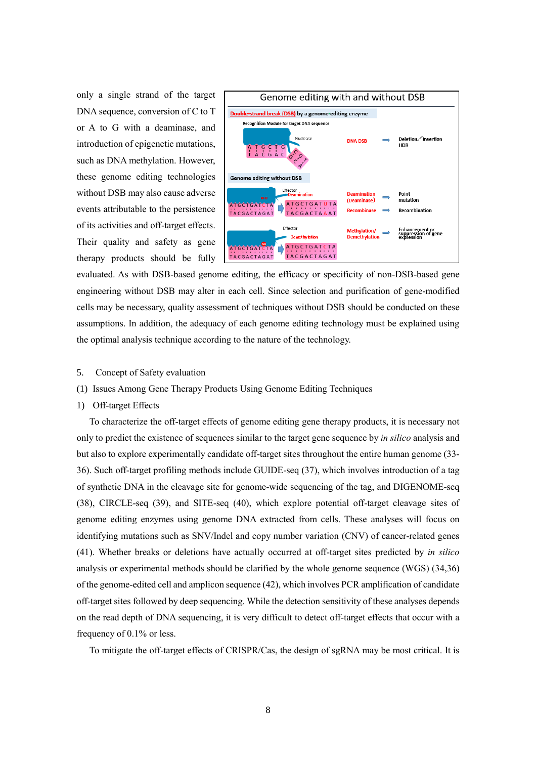only a single strand of the target DNA sequence, conversion of C to T or A to G with a deaminase, and introduction of epigenetic mutations, such as DNA methylation. However, these genome editing technologies without DSB may also cause adverse events attributable to the persistence of its activities and off-target effects. Their quality and safety as gene therapy products should be fully

![](_page_7_Figure_1.jpeg)

evaluated. As with DSB-based genome editing, the efficacy or specificity of non-DSB-based gene engineering without DSB may alter in each cell. Since selection and purification of gene-modified cells may be necessary, quality assessment of techniques without DSB should be conducted on these assumptions. In addition, the adequacy of each genome editing technology must be explained using the optimal analysis technique according to the nature of the technology.

- 5. Concept of Safety evaluation
- (1) Issues Among Gene Therapy Products Using Genome Editing Techniques
- 1) Off-target Effects

To characterize the off-target effects of genome editing gene therapy products, it is necessary not only to predict the existence of sequences similar to the target gene sequence by *in silico* analysis and but also to explore experimentally candidate off-target sites throughout the entire human genome (33- 36). Such off-target profiling methods include GUIDE-seq (37), which involves introduction of a tag of synthetic DNA in the cleavage site for genome-wide sequencing of the tag, and DIGENOME-seq (38), CIRCLE-seq (39), and SITE-seq (40), which explore potential off-target cleavage sites of genome editing enzymes using genome DNA extracted from cells. These analyses will focus on identifying mutations such as SNV/Indel and copy number variation (CNV) of cancer-related genes (41). Whether breaks or deletions have actually occurred at off-target sites predicted by *in silico* analysis or experimental methods should be clarified by the whole genome sequence (WGS) (34,36) of the genome-edited cell and amplicon sequence (42), which involves PCR amplification of candidate off-target sites followed by deep sequencing. While the detection sensitivity of these analyses depends on the read depth of DNA sequencing, it is very difficult to detect off-target effects that occur with a frequency of 0.1% or less.

To mitigate the off-target effects of CRISPR/Cas, the design of sgRNA may be most critical. It is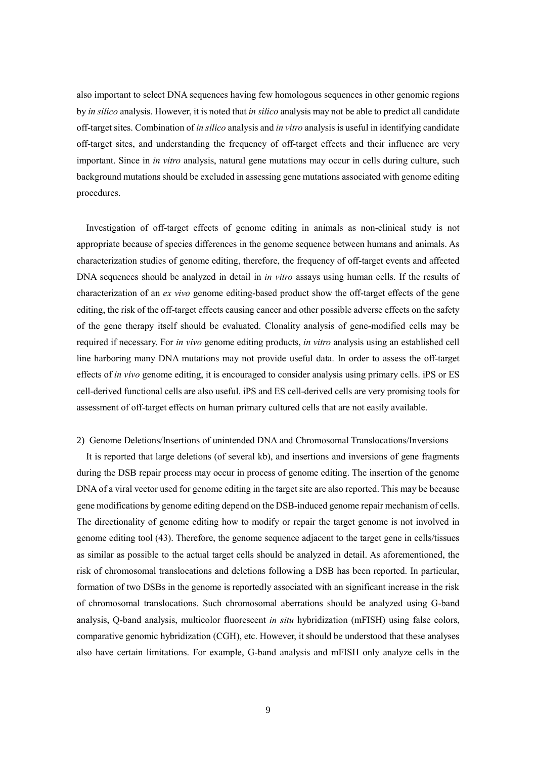also important to select DNA sequences having few homologous sequences in other genomic regions by *in silico* analysis. However, it is noted that *in silico* analysis may not be able to predict all candidate off-target sites. Combination of *in silico* analysis and *in vitro* analysis is useful in identifying candidate off-target sites, and understanding the frequency of off-target effects and their influence are very important. Since in *in vitro* analysis, natural gene mutations may occur in cells during culture, such background mutations should be excluded in assessing gene mutations associated with genome editing procedures.

Investigation of off-target effects of genome editing in animals as non-clinical study is not appropriate because of species differences in the genome sequence between humans and animals. As characterization studies of genome editing, therefore, the frequency of off-target events and affected DNA sequences should be analyzed in detail in *in vitro* assays using human cells. If the results of characterization of an *ex vivo* genome editing-based product show the off-target effects of the gene editing, the risk of the off-target effects causing cancer and other possible adverse effects on the safety of the gene therapy itself should be evaluated. Clonality analysis of gene-modified cells may be required if necessary. For *in vivo* genome editing products, *in vitro* analysis using an established cell line harboring many DNA mutations may not provide useful data. In order to assess the off-target effects of *in vivo* genome editing, it is encouraged to consider analysis using primary cells. iPS or ES cell-derived functional cells are also useful. iPS and ES cell-derived cells are very promising tools for assessment of off-target effects on human primary cultured cells that are not easily available.

### 2) Genome Deletions/Insertions of unintended DNA and Chromosomal Translocations/Inversions

It is reported that large deletions (of several kb), and insertions and inversions of gene fragments during the DSB repair process may occur in process of genome editing. The insertion of the genome DNA of a viral vector used for genome editing in the target site are also reported. This may be because gene modifications by genome editing depend on the DSB-induced genome repair mechanism of cells. The directionality of genome editing how to modify or repair the target genome is not involved in genome editing tool (43). Therefore, the genome sequence adjacent to the target gene in cells/tissues as similar as possible to the actual target cells should be analyzed in detail. As aforementioned, the risk of chromosomal translocations and deletions following a DSB has been reported. In particular, formation of two DSBs in the genome is reportedly associated with an significant increase in the risk of chromosomal translocations. Such chromosomal aberrations should be analyzed using G-band analysis, Q-band analysis, multicolor fluorescent *in situ* hybridization (mFISH) using false colors, comparative genomic hybridization (CGH), etc. However, it should be understood that these analyses also have certain limitations. For example, G-band analysis and mFISH only analyze cells in the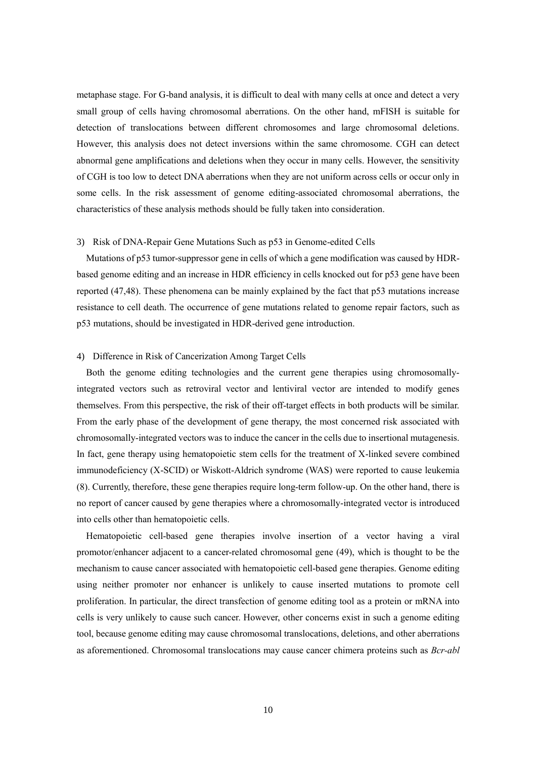metaphase stage. For G-band analysis, it is difficult to deal with many cells at once and detect a very small group of cells having chromosomal aberrations. On the other hand, mFISH is suitable for detection of translocations between different chromosomes and large chromosomal deletions. However, this analysis does not detect inversions within the same chromosome. CGH can detect abnormal gene amplifications and deletions when they occur in many cells. However, the sensitivity of CGH is too low to detect DNA aberrations when they are not uniform across cells or occur only in some cells. In the risk assessment of genome editing-associated chromosomal aberrations, the characteristics of these analysis methods should be fully taken into consideration.

### 3) Risk of DNA-Repair Gene Mutations Such as p53 in Genome-edited Cells

Mutations of p53 tumor-suppressor gene in cells of which a gene modification was caused by HDRbased genome editing and an increase in HDR efficiency in cells knocked out for p53 gene have been reported (47,48). These phenomena can be mainly explained by the fact that p53 mutations increase resistance to cell death. The occurrence of gene mutations related to genome repair factors, such as p53 mutations, should be investigated in HDR-derived gene introduction.

#### 4) Difference in Risk of Cancerization Among Target Cells

Both the genome editing technologies and the current gene therapies using chromosomallyintegrated vectors such as retroviral vector and lentiviral vector are intended to modify genes themselves. From this perspective, the risk of their off-target effects in both products will be similar. From the early phase of the development of gene therapy, the most concerned risk associated with chromosomally-integrated vectors was to induce the cancer in the cells due to insertional mutagenesis. In fact, gene therapy using hematopoietic stem cells for the treatment of X-linked severe combined immunodeficiency (X-SCID) or Wiskott-Aldrich syndrome (WAS) were reported to cause leukemia (8). Currently, therefore, these gene therapies require long-term follow-up. On the other hand, there is no report of cancer caused by gene therapies where a chromosomally-integrated vector is introduced into cells other than hematopoietic cells.

Hematopoietic cell-based gene therapies involve insertion of a vector having a viral promotor/enhancer adjacent to a cancer-related chromosomal gene (49), which is thought to be the mechanism to cause cancer associated with hematopoietic cell-based gene therapies. Genome editing using neither promoter nor enhancer is unlikely to cause inserted mutations to promote cell proliferation. In particular, the direct transfection of genome editing tool as a protein or mRNA into cells is very unlikely to cause such cancer. However, other concerns exist in such a genome editing tool, because genome editing may cause chromosomal translocations, deletions, and other aberrations as aforementioned. Chromosomal translocations may cause cancer chimera proteins such as *Bcr-abl*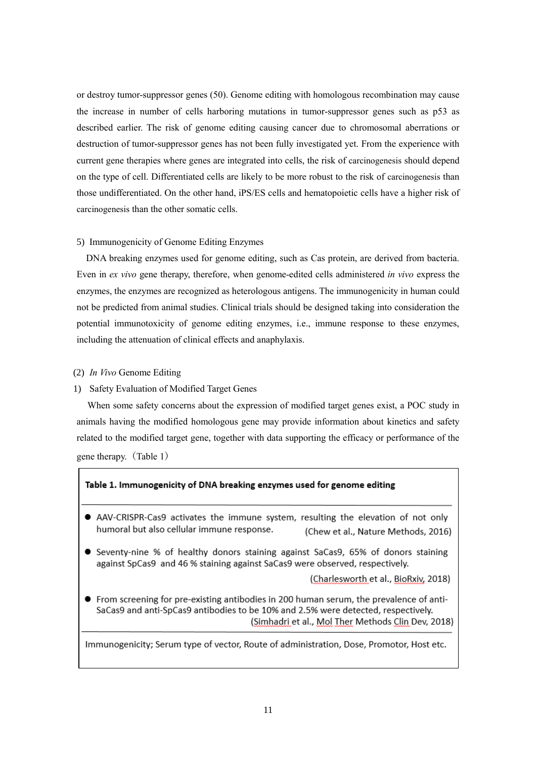or destroy tumor-suppressor genes (50). Genome editing with homologous recombination may cause the increase in number of cells harboring mutations in tumor-suppressor genes such as p53 as described earlier. The risk of genome editing causing cancer due to chromosomal aberrations or destruction of tumor-suppressor genes has not been fully investigated yet. From the experience with current gene therapies where genes are integrated into cells, the risk of carcinogenesis should depend on the type of cell. Differentiated cells are likely to be more robust to the risk of carcinogenesis than those undifferentiated. On the other hand, iPS/ES cells and hematopoietic cells have a higher risk of carcinogenesis than the other somatic cells.

# 5) Immunogenicity of Genome Editing Enzymes

DNA breaking enzymes used for genome editing, such as Cas protein, are derived from bacteria. Even in *ex vivo* gene therapy, therefore, when genome-edited cells administered *in vivo* express the enzymes, the enzymes are recognized as heterologous antigens. The immunogenicity in human could not be predicted from animal studies. Clinical trials should be designed taking into consideration the potential immunotoxicity of genome editing enzymes, i.e., immune response to these enzymes, including the attenuation of clinical effects and anaphylaxis.

### (2) *In Vivo* Genome Editing

# 1) Safety Evaluation of Modified Target Genes

When some safety concerns about the expression of modified target genes exist, a POC study in animals having the modified homologous gene may provide information about kinetics and safety related to the modified target gene, together with data supporting the efficacy or performance of the gene therapy.(Table 1)

#### Table 1. Immunogenicity of DNA breaking enzymes used for genome editing

- AAV-CRISPR-Cas9 activates the immune system, resulting the elevation of not only humoral but also cellular immune response. (Chew et al., Nature Methods, 2016)
- Seventy-nine % of healthy donors staining against SaCas9, 65% of donors staining against SpCas9 and 46 % staining against SaCas9 were observed, respectively.

(Charlesworth et al., BioRxiv, 2018)

• From screening for pre-existing antibodies in 200 human serum, the prevalence of anti-SaCas9 and anti-SpCas9 antibodies to be 10% and 2.5% were detected, respectively. (Simhadri et al., Mol Ther Methods Clin Dev, 2018)

Immunogenicity; Serum type of vector, Route of administration, Dose, Promotor, Host etc.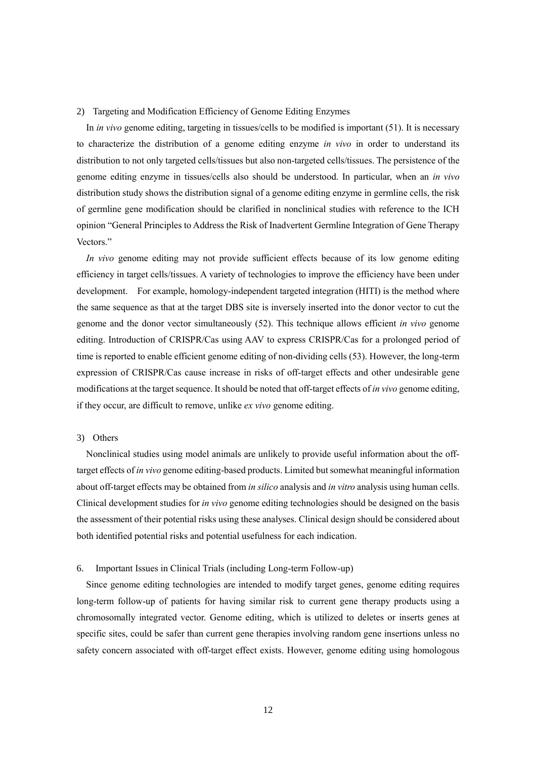#### 2) Targeting and Modification Efficiency of Genome Editing Enzymes

In *in vivo* genome editing, targeting in tissues/cells to be modified is important (51). It is necessary to characterize the distribution of a genome editing enzyme *in vivo* in order to understand its distribution to not only targeted cells/tissues but also non-targeted cells/tissues. The persistence of the genome editing enzyme in tissues/cells also should be understood. In particular, when an *in vivo* distribution study shows the distribution signal of a genome editing enzyme in germline cells, the risk of germline gene modification should be clarified in nonclinical studies with reference to the ICH opinion "General Principles to Address the Risk of Inadvertent Germline Integration of Gene Therapy Vectors."

*In vivo* genome editing may not provide sufficient effects because of its low genome editing efficiency in target cells/tissues. A variety of technologies to improve the efficiency have been under development. For example, homology-independent targeted integration (HITI) is the method where the same sequence as that at the target DBS site is inversely inserted into the donor vector to cut the genome and the donor vector simultaneously (52). This technique allows efficient *in vivo* genome editing. Introduction of CRISPR/Cas using AAV to express CRISPR/Cas for a prolonged period of time is reported to enable efficient genome editing of non-dividing cells (53). However, the long-term expression of CRISPR/Cas cause increase in risks of off-target effects and other undesirable gene modifications at the target sequence. It should be noted that off-target effects of *in vivo* genome editing, if they occur, are difficult to remove, unlike *ex vivo* genome editing.

# 3) Others

Nonclinical studies using model animals are unlikely to provide useful information about the offtarget effects of *in vivo* genome editing-based products. Limited but somewhat meaningful information about off-target effects may be obtained from *in silico* analysis and *in vitro* analysis using human cells. Clinical development studies for *in vivo* genome editing technologies should be designed on the basis the assessment of their potential risks using these analyses. Clinical design should be considered about both identified potential risks and potential usefulness for each indication.

### 6. Important Issues in Clinical Trials (including Long-term Follow-up)

Since genome editing technologies are intended to modify target genes, genome editing requires long-term follow-up of patients for having similar risk to current gene therapy products using a chromosomally integrated vector. Genome editing, which is utilized to deletes or inserts genes at specific sites, could be safer than current gene therapies involving random gene insertions unless no safety concern associated with off-target effect exists. However, genome editing using homologous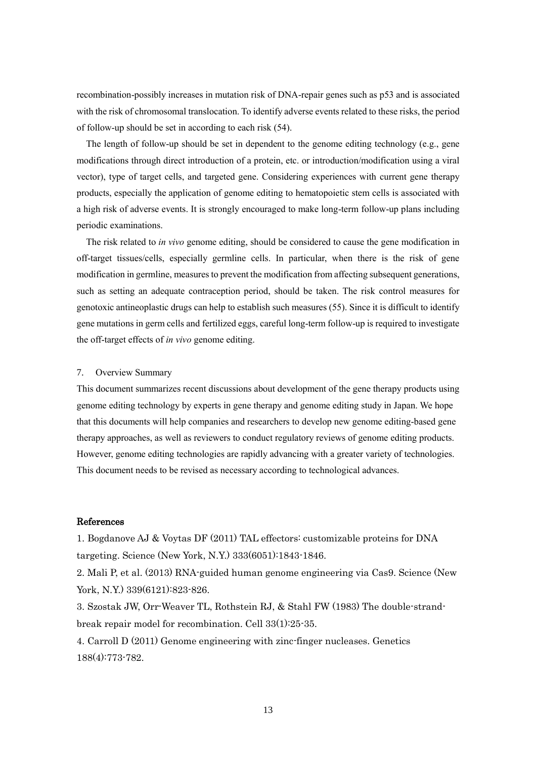recombination-possibly increases in mutation risk of DNA-repair genes such as p53 and is associated with the risk of chromosomal translocation. To identify adverse events related to these risks, the period of follow-up should be set in according to each risk (54).

The length of follow-up should be set in dependent to the genome editing technology (e.g., gene modifications through direct introduction of a protein, etc. or introduction/modification using a viral vector), type of target cells, and targeted gene. Considering experiences with current gene therapy products, especially the application of genome editing to hematopoietic stem cells is associated with a high risk of adverse events. It is strongly encouraged to make long-term follow-up plans including periodic examinations.

The risk related to *in vivo* genome editing, should be considered to cause the gene modification in off-target tissues/cells, especially germline cells. In particular, when there is the risk of gene modification in germline, measures to prevent the modification from affecting subsequent generations, such as setting an adequate contraception period, should be taken. The risk control measures for genotoxic antineoplastic drugs can help to establish such measures (55). Since it is difficult to identify gene mutations in germ cells and fertilized eggs, careful long-term follow-up is required to investigate the off-target effects of *in vivo* genome editing.

#### 7. Overview Summary

This document summarizes recent discussions about development of the gene therapy products using genome editing technology by experts in gene therapy and genome editing study in Japan. We hope that this documents will help companies and researchers to develop new genome editing-based gene therapy approaches, as well as reviewers to conduct regulatory reviews of genome editing products. However, genome editing technologies are rapidly advancing with a greater variety of technologies. This document needs to be revised as necessary according to technological advances.

## References

1. Bogdanove AJ & Voytas DF (2011) TAL effectors: customizable proteins for DNA targeting. Science (New York, N.Y.) 333(6051):1843-1846.

2. Mali P, et al. (2013) RNA-guided human genome engineering via Cas9. Science (New York, N.Y.) 339(6121):823-826.

3. Szostak JW, Orr-Weaver TL, Rothstein RJ, & Stahl FW (1983) The double-strandbreak repair model for recombination. Cell 33(1):25-35.

4. Carroll D (2011) Genome engineering with zinc-finger nucleases. Genetics 188(4):773-782.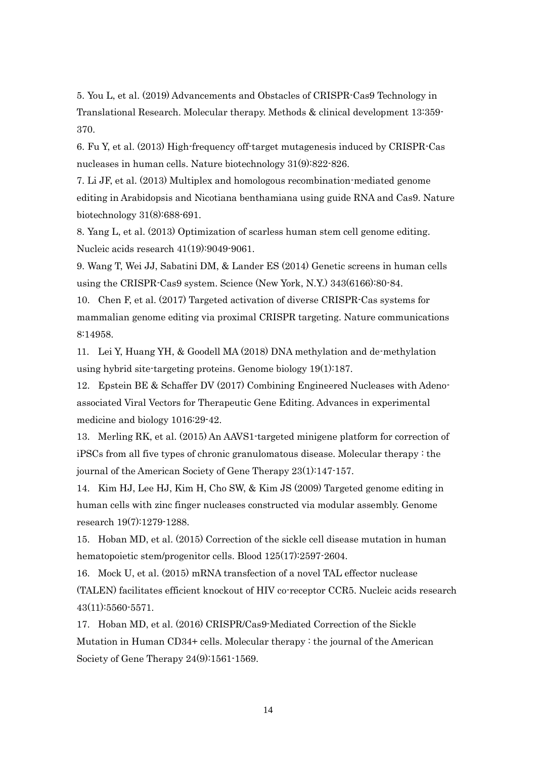5. You L, et al. (2019) Advancements and Obstacles of CRISPR-Cas9 Technology in Translational Research. Molecular therapy. Methods & clinical development 13:359- 370.

6. Fu Y, et al. (2013) High-frequency off-target mutagenesis induced by CRISPR-Cas nucleases in human cells. Nature biotechnology  $31(9)$ :822-826.

7. Li JF, et al. (2013) Multiplex and homologous recombination-mediated genome editing in Arabidopsis and Nicotiana benthamiana using guide RNA and Cas9. Nature biotechnology 31(8):688-691.

8. Yang L, et al. (2013) Optimization of scarless human stem cell genome editing. Nucleic acids research 41(19):9049-9061.

9. Wang T, Wei JJ, Sabatini DM, & Lander ES (2014) Genetic screens in human cells using the CRISPR-Cas9 system. Science (New York, N.Y.) 343(6166):80-84.

10. Chen F, et al. (2017) Targeted activation of diverse CRISPR-Cas systems for mammalian genome editing via proximal CRISPR targeting. Nature communications 8:14958.

11. Lei Y, Huang YH, & Goodell MA (2018) DNA methylation and de-methylation using hybrid site-targeting proteins. Genome biology 19(1):187.

12. Epstein BE & Schaffer DV (2017) Combining Engineered Nucleases with Adenoassociated Viral Vectors for Therapeutic Gene Editing. Advances in experimental medicine and biology 1016:29-42.

13. Merling RK, et al. (2015) An AAVS1-targeted minigene platform for correction of iPSCs from all five types of chronic granulomatous disease. Molecular therapy : the journal of the American Society of Gene Therapy 23(1):147-157.

14. Kim HJ, Lee HJ, Kim H, Cho SW, & Kim JS (2009) Targeted genome editing in human cells with zinc finger nucleases constructed via modular assembly. Genome research 19(7):1279-1288.

15. Hoban MD, et al. (2015) Correction of the sickle cell disease mutation in human hematopoietic stem/progenitor cells. Blood 125(17):2597-2604.

16. Mock U, et al. (2015) mRNA transfection of a novel TAL effector nuclease (TALEN) facilitates efficient knockout of HIV co-receptor CCR5. Nucleic acids research 43(11):5560-5571.

17. Hoban MD, et al. (2016) CRISPR/Cas9-Mediated Correction of the Sickle Mutation in Human CD34+ cells. Molecular therapy : the journal of the American Society of Gene Therapy 24(9):1561-1569.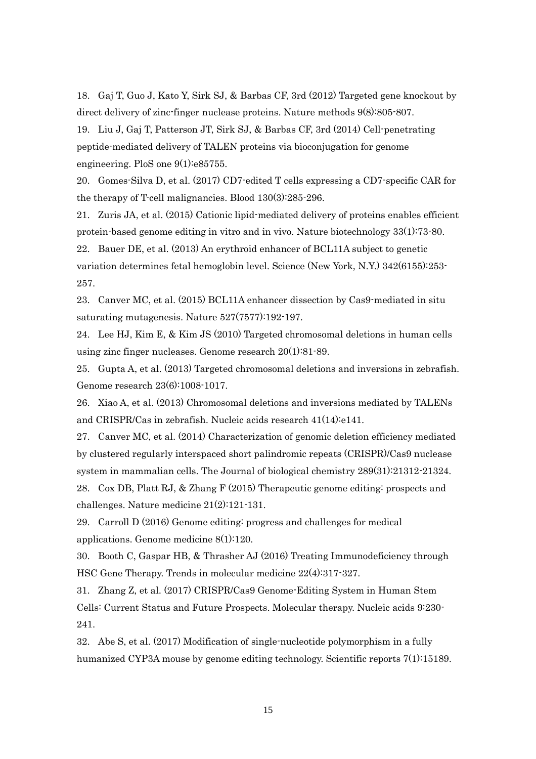18. Gaj T, Guo J, Kato Y, Sirk SJ, & Barbas CF, 3rd (2012) Targeted gene knockout by direct delivery of zinc-finger nuclease proteins. Nature methods 9(8):805-807.

19. Liu J, Gaj T, Patterson JT, Sirk SJ, & Barbas CF, 3rd (2014) Cell-penetrating peptide-mediated delivery of TALEN proteins via bioconjugation for genome engineering. PloS one 9(1):e85755.

20. Gomes-Silva D, et al. (2017) CD7-edited T cells expressing a CD7-specific CAR for the therapy of T-cell malignancies. Blood 130(3):285-296.

21. Zuris JA, et al. (2015) Cationic lipid-mediated delivery of proteins enables efficient protein-based genome editing in vitro and in vivo. Nature biotechnology 33(1):73-80.

22. Bauer DE, et al. (2013) An erythroid enhancer of BCL11A subject to genetic variation determines fetal hemoglobin level. Science (New York, N.Y.) 342(6155):253- 257.

23. Canver MC, et al. (2015) BCL11A enhancer dissection by Cas9-mediated in situ saturating mutagenesis. Nature 527(7577):192-197.

24. Lee HJ, Kim E, & Kim JS (2010) Targeted chromosomal deletions in human cells using zinc finger nucleases. Genome research 20(1):81-89.

25. Gupta A, et al. (2013) Targeted chromosomal deletions and inversions in zebrafish. Genome research 23(6):1008-1017.

26. Xiao A, et al. (2013) Chromosomal deletions and inversions mediated by TALENs and CRISPR/Cas in zebrafish. Nucleic acids research 41(14):e141.

27. Canver MC, et al. (2014) Characterization of genomic deletion efficiency mediated by clustered regularly interspaced short palindromic repeats (CRISPR)/Cas9 nuclease system in mammalian cells. The Journal of biological chemistry 289(31):21312-21324.

28. Cox DB, Platt RJ, & Zhang F (2015) Therapeutic genome editing: prospects and challenges. Nature medicine 21(2):121-131.

29. Carroll D (2016) Genome editing: progress and challenges for medical applications. Genome medicine 8(1):120.

30. Booth C, Gaspar HB, & Thrasher AJ (2016) Treating Immunodeficiency through HSC Gene Therapy. Trends in molecular medicine 22(4):317-327.

31. Zhang Z, et al. (2017) CRISPR/Cas9 Genome-Editing System in Human Stem Cells: Current Status and Future Prospects. Molecular therapy. Nucleic acids 9:230- 241.

32. Abe S, et al. (2017) Modification of single-nucleotide polymorphism in a fully humanized CYP3A mouse by genome editing technology. Scientific reports 7(1):15189.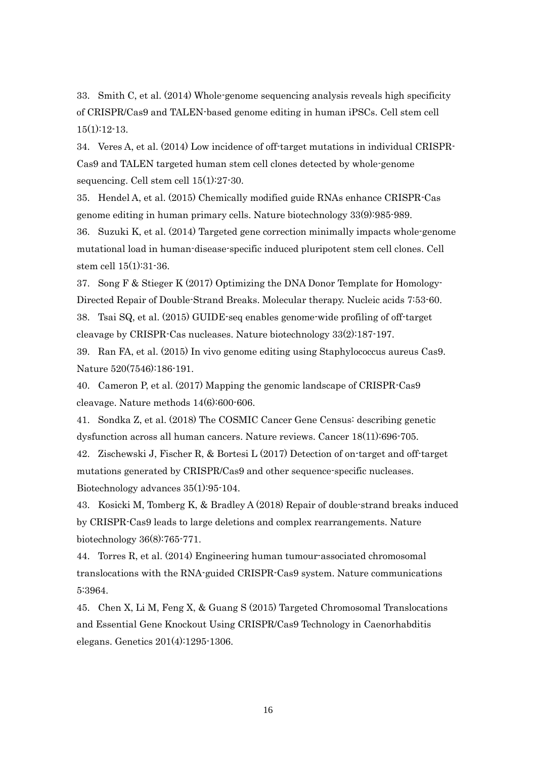33. Smith C, et al. (2014) Whole-genome sequencing analysis reveals high specificity of CRISPR/Cas9 and TALEN-based genome editing in human iPSCs. Cell stem cell  $15(1):12-13.$ 

34. Veres A, et al. (2014) Low incidence of off-target mutations in individual CRISPR-Cas9 and TALEN targeted human stem cell clones detected by whole-genome sequencing. Cell stem cell 15(1):27-30.

35. Hendel A, et al. (2015) Chemically modified guide RNAs enhance CRISPR-Cas genome editing in human primary cells. Nature biotechnology 33(9):985-989.

36. Suzuki K, et al. (2014) Targeted gene correction minimally impacts whole-genome mutational load in human-disease-specific induced pluripotent stem cell clones. Cell stem cell 15(1):31-36.

37. Song F & Stieger K (2017) Optimizing the DNA Donor Template for Homology-Directed Repair of Double-Strand Breaks. Molecular therapy. Nucleic acids 7:53-60. 38. Tsai SQ, et al. (2015) GUIDE-seq enables genome-wide profiling of off-target cleavage by CRISPR-Cas nucleases. Nature biotechnology 33(2):187-197.

39. Ran FA, et al. (2015) In vivo genome editing using Staphylococcus aureus Cas9. Nature 520(7546):186-191.

40. Cameron P, et al. (2017) Mapping the genomic landscape of CRISPR-Cas9 cleavage. Nature methods 14(6):600-606.

41. Sondka Z, et al. (2018) The COSMIC Cancer Gene Census: describing genetic dysfunction across all human cancers. Nature reviews. Cancer 18(11):696-705.

42. Zischewski J, Fischer R, & Bortesi L (2017) Detection of on-target and off-target mutations generated by CRISPR/Cas9 and other sequence-specific nucleases. Biotechnology advances 35(1):95-104.

43. Kosicki M, Tomberg K, & Bradley A (2018) Repair of double-strand breaks induced by CRISPR-Cas9 leads to large deletions and complex rearrangements. Nature biotechnology 36(8):765-771.

44. Torres R, et al. (2014) Engineering human tumour-associated chromosomal translocations with the RNA-guided CRISPR-Cas9 system. Nature communications 5:3964.

45. Chen X, Li M, Feng X, & Guang S (2015) Targeted Chromosomal Translocations and Essential Gene Knockout Using CRISPR/Cas9 Technology in Caenorhabditis elegans. Genetics 201(4):1295-1306.